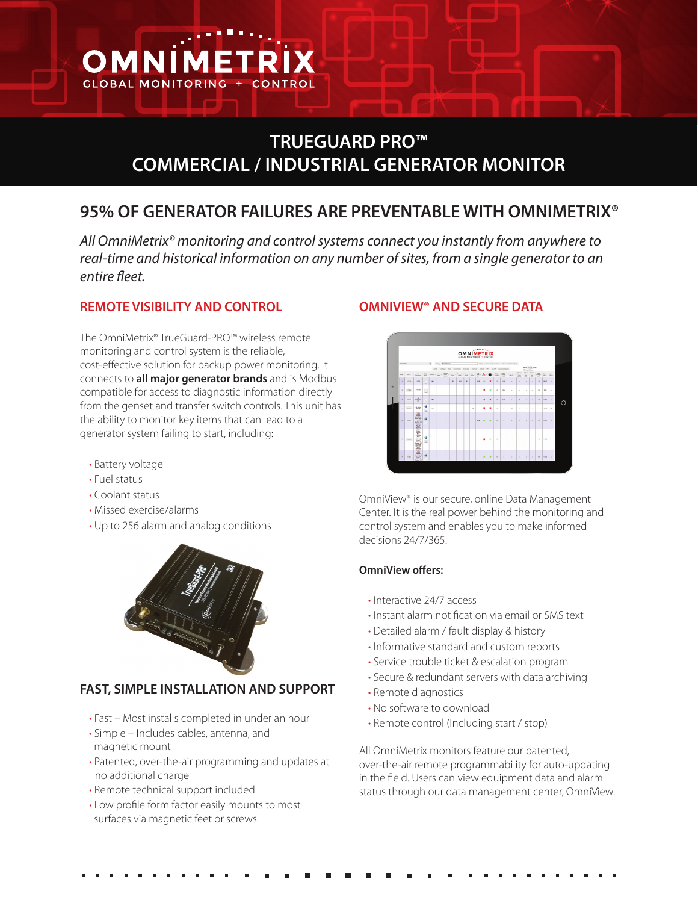

# **TRUEGUARD PRO™ COMMERCIAL / INDUSTRIAL GENERATOR MONITOR**

# **95% OF GENERATOR FAILURES ARE PREVENTABLE WITH OMNIMETRIX®**

*All OmniMetrix® monitoring and control systems connect you instantly from anywhere to real-time and historical information on any number of sites, from a single generator to an entire fleet.*

### **REMOTE VISIBILITY AND CONTROL**

The OmniMetrix® TrueGuard-PRO™ wireless remote monitoring and control system is the reliable, cost-effective solution for backup power monitoring. It connects to **all major generator brands** and is Modbus compatible for access to diagnostic information directly from the genset and transfer switch controls. This unit has the ability to monitor key items that can lead to a generator system failing to start, including:

- Battery voltage
- Fuel status
- Coolant status
- Missed exercise/alarms
- Up to 256 alarm and analog conditions



## **FAST, SIMPLE INSTALLATION AND SUPPORT**

- Fast Most installs completed in under an hour
- Simple Includes cables, antenna, and magnetic mount
- Patented, over-the-air programming and updates at no additional charge
- Remote technical support included
- Low profile form factor easily mounts to most surfaces via magnetic feet or screws

## **OMNIVIEW® AND SECURE DATA**



OmniView® is our secure, online Data Management Center. It is the real power behind the monitoring and control system and enables you to make informed decisions 24/7/365.

#### **OmniView offers:**

- Interactive 24/7 access
- Instant alarm notification via email or SMS text
- Detailed alarm / fault display & history
- Informative standard and custom reports
- Service trouble ticket & escalation program
- Secure & redundant servers with data archiving
- Remote diagnostics
- No software to download
- Remote control (Including start / stop)

All OmniMetrix monitors feature our patented, over-the-air remote programmability for auto-updating in the field. Users can view equipment data and alarm status through our data management center, OmniView.